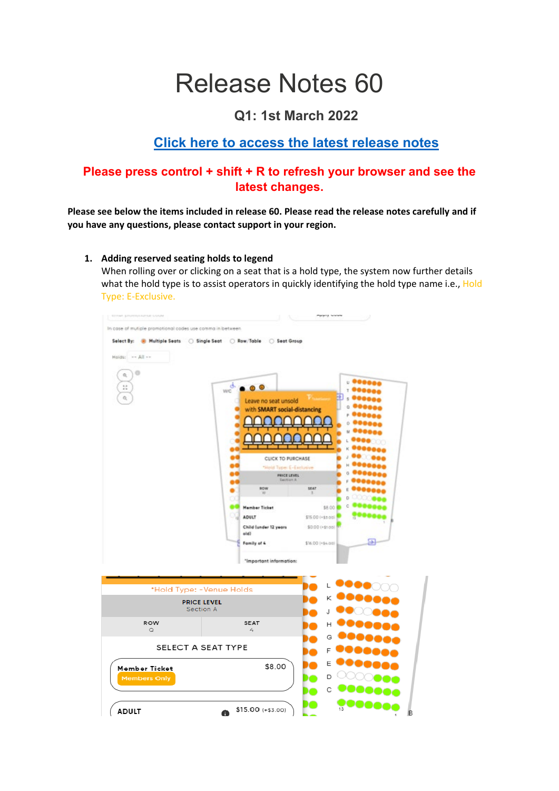# Release Notes 60

## **Q1: 1st March 2022**

# **[Click here to access the latest release notes](https://helpticketsearch.com/release-notes/)**

### **Please press control + shift + R to refresh your browser and see the latest changes.**

**Please see below the items included in release 60. Please read the release notes carefully and if you have any questions, please contact support in your region.** 

**1. Adding reserved seating holds to legend** 

When rolling over or clicking on a seat that is a hold type, the system now further details what the hold type is to assist operators in quickly identifying the hold type name i.e., Hold Type: E-Exclusive.

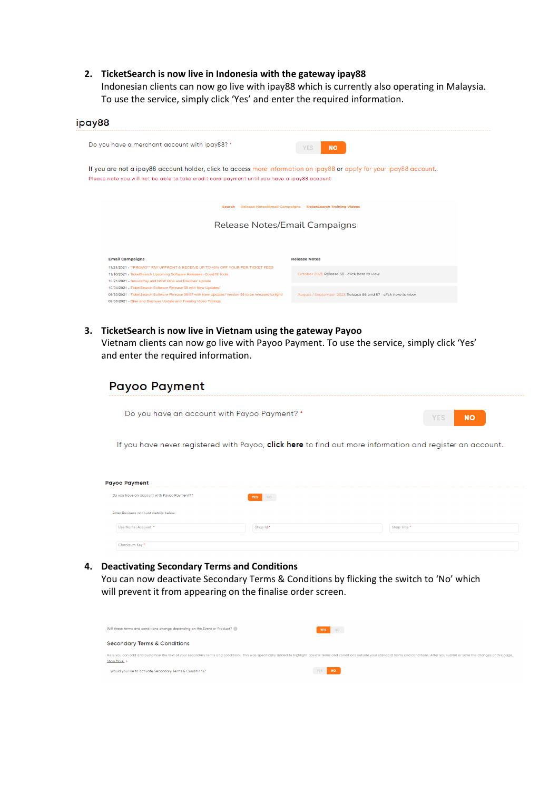#### **2. TicketSearch is now live in Indonesia with the gateway ipay88**

Indonesian clients can now go live with ipay88 which is currently also operating in Malaysia. To use the service, simply click 'Yes' and enter the required information.

| ipay88                                                                                                                                                                                                                                       |                                                                   |
|----------------------------------------------------------------------------------------------------------------------------------------------------------------------------------------------------------------------------------------------|-------------------------------------------------------------------|
| Do you have a merchant account with ipay88? *                                                                                                                                                                                                | <b>NO</b><br><b>YES</b>                                           |
| If you are not a ipay88 account holder, click to access more information on ipay88 or apply for your ipay88 account.<br>Please note you will not be able to take credit card payment until you have a ipay88 account                         |                                                                   |
|                                                                                                                                                                                                                                              | Search Release Notes/Email Campaigns TicketSearch Training Videos |
| Release Notes/Email Campaigns                                                                                                                                                                                                                |                                                                   |
|                                                                                                                                                                                                                                              |                                                                   |
| <b>Email Campaigns</b>                                                                                                                                                                                                                       | <b>Release Notes</b>                                              |
| 11/21/2021 - ** PROMO** PAY UPFRONT & RECEIVE UP TO 40% OFF YOUR PER TICKET FEES<br>11/16/2021 - TicketSearch Upcoming Software Releases -Covid19 Tools<br>10/21/2021 - SecurePay and NSW Dine and Discover Update                           | October 2021: Release 58 - click here to view                     |
| 10/04/2021 - TicketSearch Software Release 58 with New Updates!<br>09/30/2021 - TicketSearch Software Release 56/57 with New Updates! Version 58 to be released tonight!<br>09/06/2021 - Dine and Discover Update and Training Video Timings | August / September 2021: Release 56 and 57 - click here to view   |

**3. TicketSearch is now live in Vietnam using the gateway Payoo** 

Vietnam clients can now go live with Payoo Payment. To use the service, simply click 'Yes' and enter the required information.

| Do you have an account with Payoo Payment? *                                                                  |                                                                                                           | <b>NO</b><br><b>YES</b> |
|---------------------------------------------------------------------------------------------------------------|-----------------------------------------------------------------------------------------------------------|-------------------------|
|                                                                                                               | If you have never registered with Payoo, click here to find out more information and register an account. |                         |
|                                                                                                               |                                                                                                           |                         |
|                                                                                                               |                                                                                                           |                         |
|                                                                                                               |                                                                                                           |                         |
|                                                                                                               | NO<br><b>YES</b>                                                                                          |                         |
| <b>Payoo Payment</b><br>Do you have an account with Payoo Payment? *<br>Enter Business account details below. |                                                                                                           |                         |

#### **4. Deactivating Secondary Terms and Conditions**

You can now deactivate Secondary Terms & Conditions by flicking the switch to 'No' which will prevent it from appearing on the finalise order screen.

| Will these terms and conditions change depending on the Event or Product?                                                                                                                                                                     | YES NO                  |
|-----------------------------------------------------------------------------------------------------------------------------------------------------------------------------------------------------------------------------------------------|-------------------------|
| <b>Secondary Terms &amp; Conditions</b>                                                                                                                                                                                                       |                         |
| Here you can add and customise the text of your secondary terms and conditions. This was specifically added to highlight covid19 terms and conditions outside your standard terms and conditions. After you submit or save the<br>Show More > |                         |
| Would you like to activate Secondary Terms & Conditions?                                                                                                                                                                                      | <b>NO</b><br><b>YES</b> |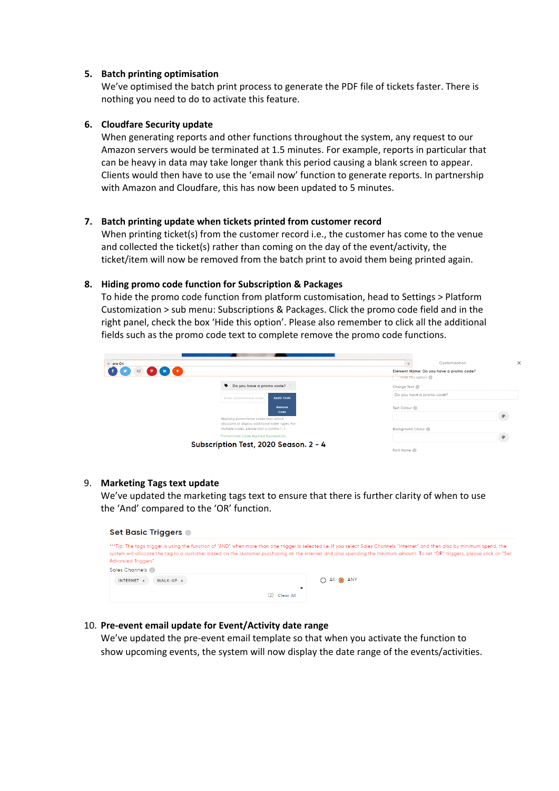#### **5. Batch printing optimisation**

We've optimised the batch print process to generate the PDF file of tickets faster. There is nothing you need to do to activate this feature.

#### **6. Cloudfare Security update**

When generating reports and other functions throughout the system, any request to our Amazon servers would be terminated at 1.5 minutes. For example, reports in particular that can be heavy in data may take longer thank this period causing a blank screen to appear. Clients would then have to use the 'email now' function to generate reports. In partnership with Amazon and Cloudfare, this has now been updated to 5 minutes.

#### **7. Batch printing update when tickets printed from customer record**

When printing ticket(s) from the customer record i.e., the customer has come to the venue and collected the ticket(s) rather than coming on the day of the event/activity, the ticket/item will now be removed from the batch print to avoid them being printed again.

#### **8. Hiding promo code function for Subscription & Packages**

To hide the promo code function from platform customisation, head to Settings > Platform Customization > sub menu: Subscriptions & Packages. Click the promo code field and in the right panel, check the box 'Hide this option'. Please also remember to click all the additional fields such as the promo code text to complete remove the promo code functions.

| $\leftarrow$ are On |                                                                                            | ×<br>Customisation                      |
|---------------------|--------------------------------------------------------------------------------------------|-----------------------------------------|
| ⊠                   |                                                                                            | Element Name: Do you have a promo code? |
|                     | ♦ Do you have a promo code?                                                                | Change Text                             |
|                     | <b>Apply Code</b><br>Enter promotional code                                                | Do you have a promo code?               |
|                     | Remove.<br>Code                                                                            | Text Colour                             |
|                     | Applying promotional codes may unlock<br>discounts or display additional ticket types. For |                                         |
|                     | multiple codes, please add a comma (, ).                                                   | Background Colour                       |
|                     | <b>Promotional Code Applied Successfully</b><br>Subscription Test, 2020 Season. 2 - 4      | Font Name                               |

#### 9. **Marketing Tags text update**

We've updated the marketing tags text to ensure that there is further clarity of when to use the 'And' compared to the 'OR' function.



#### 10. **Pre-event email update for Event/Activity date range**

We've updated the pre-event email template so that when you activate the function to show upcoming events, the system will now display the date range of the events/activities.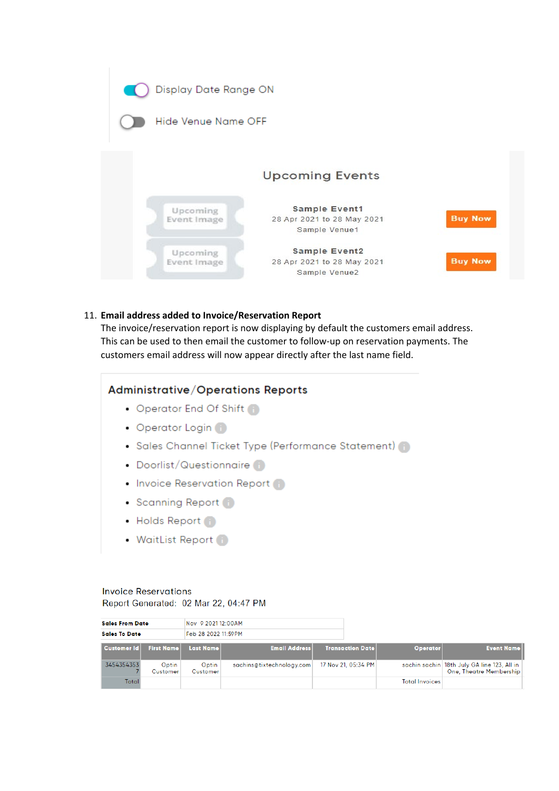

#### 11. **Email address added to Invoice/Reservation Report**

The invoice/reservation report is now displaying by default the customers email address. This can be used to then email the customer to follow-up on reservation payments. The customers email address will now appear directly after the last name field.

#### **Administrative/Operations Reports**

- Operator End Of Shift
- Operator Login
- Sales Channel Ticket Type (Performance Statement) (1)
- Doorlist/Questionnaire
- Invoice Reservation Report
- Scanning Report
- Holds Report 1
- WaitList Report

## **Invoice Reservations**

Report Generated: 02 Mar 22, 04:47 PM

| <b>Sales From Date</b> |                   | Nov 9 2021 12:00AM  |                           |                         |                       |                                                                                 |
|------------------------|-------------------|---------------------|---------------------------|-------------------------|-----------------------|---------------------------------------------------------------------------------|
| <b>Sales To Date</b>   |                   | Feb 28 2022 11:59PM |                           |                         |                       |                                                                                 |
| <b>Customer Id</b>     | <b>First Name</b> | <b>Last Name</b>    | <b>Email Address</b>      | <b>Transaction Date</b> | <b>Operator</b>       | <b>Event Name</b>                                                               |
| 3454354353             | Optin<br>Customer | Optin<br>Customer   | sachins@tixtechnology.com | 17 Nov 21, 05:34 PM     |                       | sachin sachin   18th July GA line 123, All in<br><b>One, Theatre Membership</b> |
| Total                  |                   |                     |                           |                         | <b>Total Invoices</b> |                                                                                 |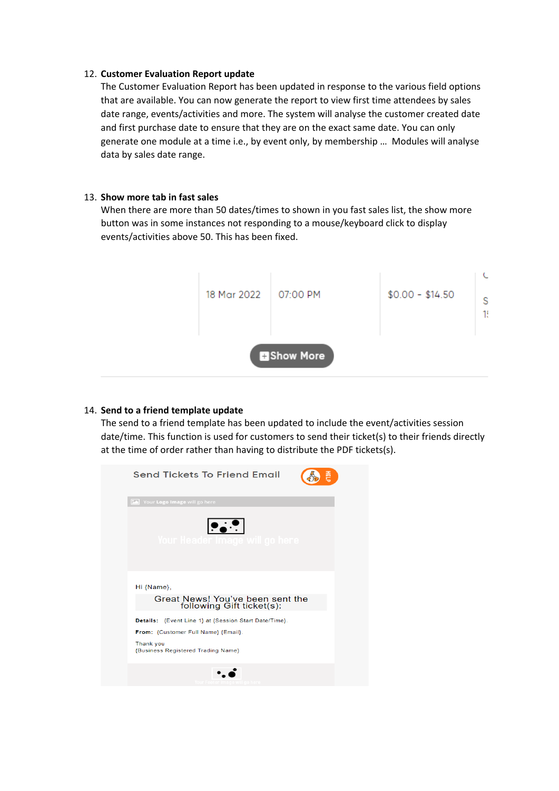#### 12. **Customer Evaluation Report update**

The Customer Evaluation Report has been updated in response to the various field options that are available. You can now generate the report to view first time attendees by sales date range, events/activities and more. The system will analyse the customer created date and first purchase date to ensure that they are on the exact same date. You can only generate one module at a time i.e., by event only, by membership … Modules will analyse data by sales date range.

#### 13. **Show more tab in fast sales**

When there are more than 50 dates/times to shown in you fast sales list, the show more button was in some instances not responding to a mouse/keyboard click to display events/activities above 50. This has been fixed.



#### 14. **Send to a friend template update**

The send to a friend template has been updated to include the event/activities session date/time. This function is used for customers to send their ticket(s) to their friends directly at the time of order rather than having to distribute the PDF tickets(s).

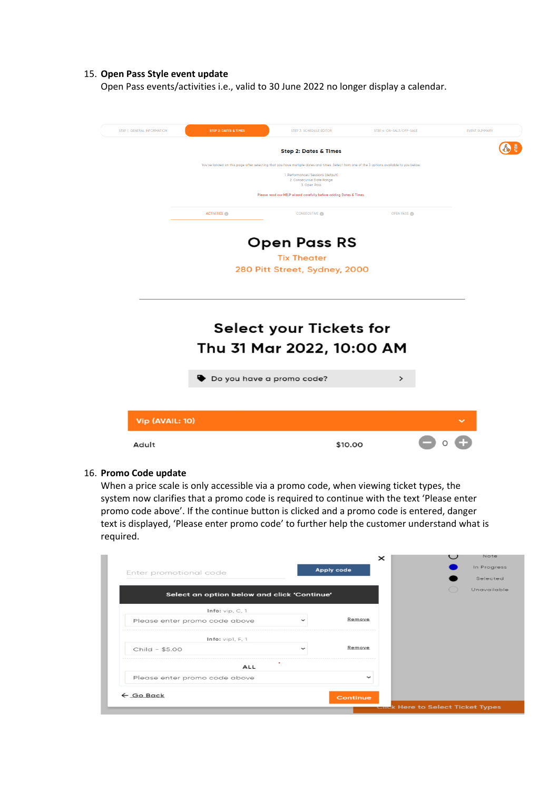#### 15. **Open Pass Style event update**

Open Pass events/activities i.e., valid to 30 June 2022 no longer display a calendar.



#### 16. **Promo Code update**

When a price scale is only accessible via a promo code, when viewing ticket types, the system now clarifies that a promo code is required to continue with the text 'Please enter promo code above'. If the continue button is clicked and a promo code is entered, danger text is displayed, 'Please enter promo code' to further help the customer understand what is required.

|                                             |             | $\times$          | Note        |
|---------------------------------------------|-------------|-------------------|-------------|
| Enter promotional code                      |             | <b>Apply code</b> | In Progress |
|                                             |             |                   | Selected    |
| Select an option below and click 'Continue' |             |                   | Unavailable |
| Info: $vip, C, 1$                           |             |                   |             |
| Please enter promo code above               |             | Remove            |             |
| Info: vip1, F, 1                            |             |                   |             |
| Child - \$5.00                              | $\check{ }$ | Remove            |             |
| <b>ALL</b>                                  |             |                   |             |
|                                             |             |                   |             |